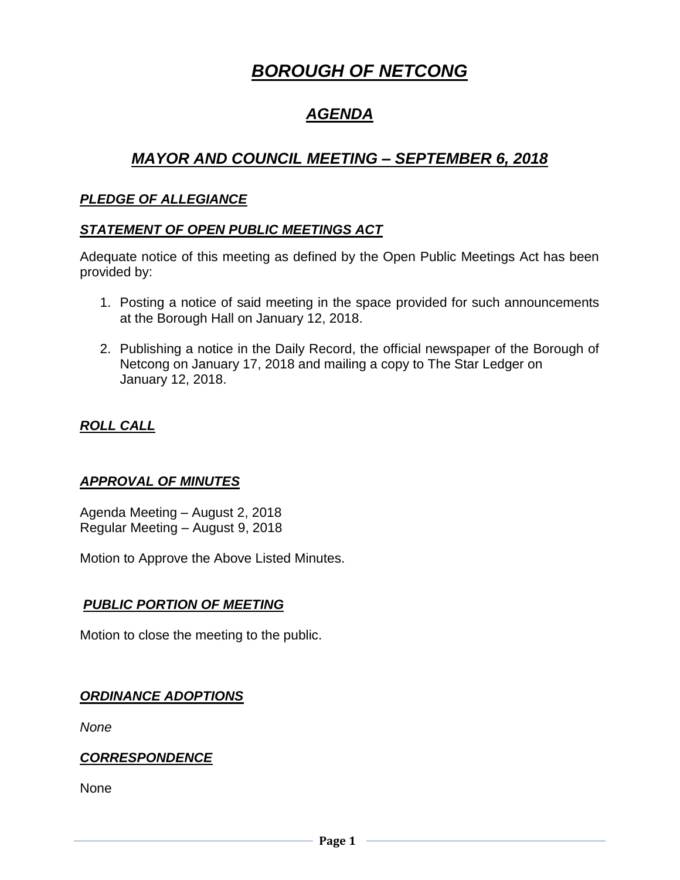# *BOROUGH OF NETCONG*

# *AGENDA*

## *MAYOR AND COUNCIL MEETING – SEPTEMBER 6, 2018*

## *PLEDGE OF ALLEGIANCE*

## *STATEMENT OF OPEN PUBLIC MEETINGS ACT*

Adequate notice of this meeting as defined by the Open Public Meetings Act has been provided by:

- 1. Posting a notice of said meeting in the space provided for such announcements at the Borough Hall on January 12, 2018.
- 2. Publishing a notice in the Daily Record, the official newspaper of the Borough of Netcong on January 17, 2018 and mailing a copy to The Star Ledger on January 12, 2018.

## *ROLL CALL*

## *APPROVAL OF MINUTES*

Agenda Meeting – August 2, 2018 Regular Meeting – August 9, 2018

Motion to Approve the Above Listed Minutes.

## *PUBLIC PORTION OF MEETING*

Motion to close the meeting to the public.

## *ORDINANCE ADOPTIONS*

*None*

## *CORRESPONDENCE*

None